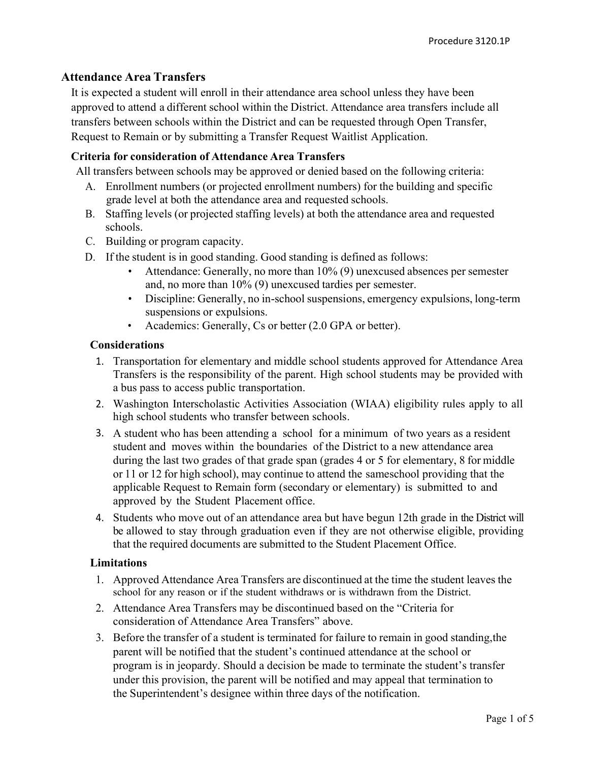# Attendance Area Transfers

It is expected a student will enroll in their attendance area school unless they have been approved to attend a different school within the District. Attendance area transfers include all transfers between schools within the District and can be requested through Open Transfer, Request to Remain or by submitting a Transfer Request Waitlist Application.

### Criteria for consideration of Attendance Area Transfers

All transfers between schools may be approved or denied based on the following criteria:

- A. Enrollment numbers (or projected enrollment numbers) for the building and specific grade level at both the attendance area and requested schools.
- B. Staffing levels (or projected staffing levels) at both the attendance area and requested schools.
- C. Building or program capacity.
- D. If the student is in good standing. Good standing is defined as follows:
	- Attendance: Generally, no more than 10% (9) unexcused absences per semester and, no more than 10% (9) unexcused tardies per semester.
	- Discipline: Generally, no in-school suspensions, emergency expulsions, long-term suspensions or expulsions.
	- Academics: Generally, Cs or better (2.0 GPA or better).

#### Considerations

- 1. Transportation for elementary and middle school students approved for Attendance Area Transfers is the responsibility of the parent. High school students may be provided with a bus pass to access public transportation.
- 2. Washington Interscholastic Activities Association (WIAA) eligibility rules apply to all high school students who transfer between schools.
- 3. A student who has been attending a school for a minimum of two years as a resident student and moves within the boundaries of the District to a new attendance area during the last two grades of that grade span (grades 4 or 5 for elementary, 8 for middle or 11 or 12 for high school), may continue to attend the same school providing that the applicable Request to Remain form (secondary or elementary) is submitted to and approved by the Student Placement office.
- 4. Students who move out of an attendance area but have begun 12th grade in the District will be allowed to stay through graduation even if they are not otherwise eligible, providing that the required documents are submitted to the Student Placement Office.

#### Limitations

- 1. Approved Attendance Area Transfers are discontinued at the time the student leaves the school for any reason or if the student withdraws or is withdrawn from the District.
- 2. Attendance Area Transfers may be discontinued based on the "Criteria for consideration of Attendance Area Transfers" above.
- 3. Before the transfer of a student is terminated for failure to remain in good standing, the parent will be notified that the student's continued attendance at the school or program is in jeopardy. Should a decision be made to terminate the student's transfer under this provision, the parent will be notified and may appeal that termination to the Superintendent's designee within three days of the notification.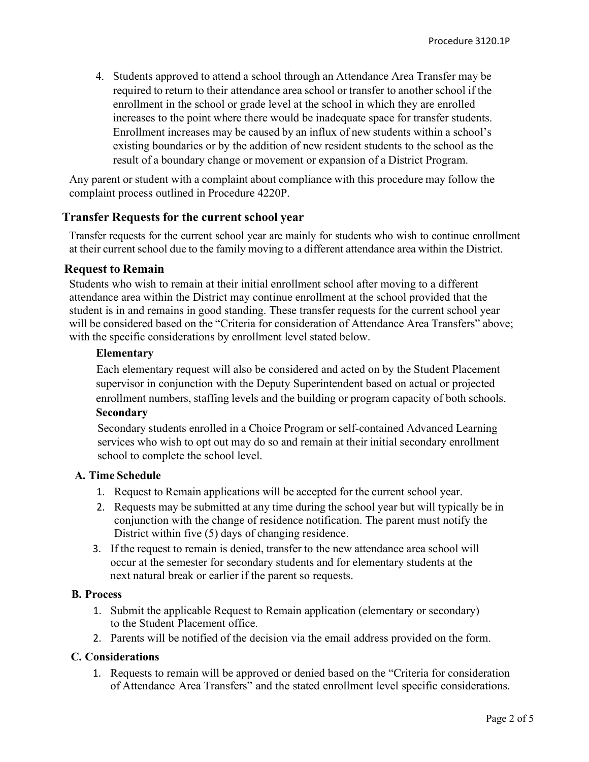4. Students approved to attend a school through an Attendance Area Transfer may be required to return to their attendance area school or transfer to another school if the enrollment in the school or grade level at the school in which they are enrolled increases to the point where there would be inadequate space for transfer students. Enrollment increases may be caused by an influx of new students within a school's existing boundaries or by the addition of new resident students to the school as the result of a boundary change or movement or expansion of a District Program.

Any parent or student with a complaint about compliance with this procedure may follow the complaint process outlined in Procedure 4220P.

## Transfer Requests for the current school year

Transfer requests for the current school year are mainly for students who wish to continue enrollment at their current school due to the family moving to a different attendance area within the District.

## Request to Remain

Students who wish to remain at their initial enrollment school after moving to a different attendance area within the District may continue enrollment at the school provided that the student is in and remains in good standing. These transfer requests for the current school year will be considered based on the "Criteria for consideration of Attendance Area Transfers" above; with the specific considerations by enrollment level stated below.

#### Elementary

Each elementary request will also be considered and acted on by the Student Placement supervisor in conjunction with the Deputy Superintendent based on actual or projected enrollment numbers, staffing levels and the building or program capacity of both schools. Secondary

# Secondary students enrolled in a Choice Program or self-contained Advanced Learning services who wish to opt out may do so and remain at their initial secondary enrollment school to complete the school level.

#### A. Time Schedule

- 1. Request to Remain applications will be accepted for the current school year.
- 2. Requests may be submitted at any time during the school year but will typically be in conjunction with the change of residence notification. The parent must notify the District within five (5) days of changing residence.
- 3. If the request to remain is denied, transfer to the new attendance area school will occur at the semester for secondary students and for elementary students at the next natural break or earlier if the parent so requests.

#### B. Process

- 1. Submit the applicable Request to Remain application (elementary or secondary) to the Student Placement office.
- 2. Parents will be notified of the decision via the email address provided on the form.

#### C. Considerations

1. Requests to remain will be approved or denied based on the "Criteria for consideration of Attendance Area Transfers" and the stated enrollment level specific considerations.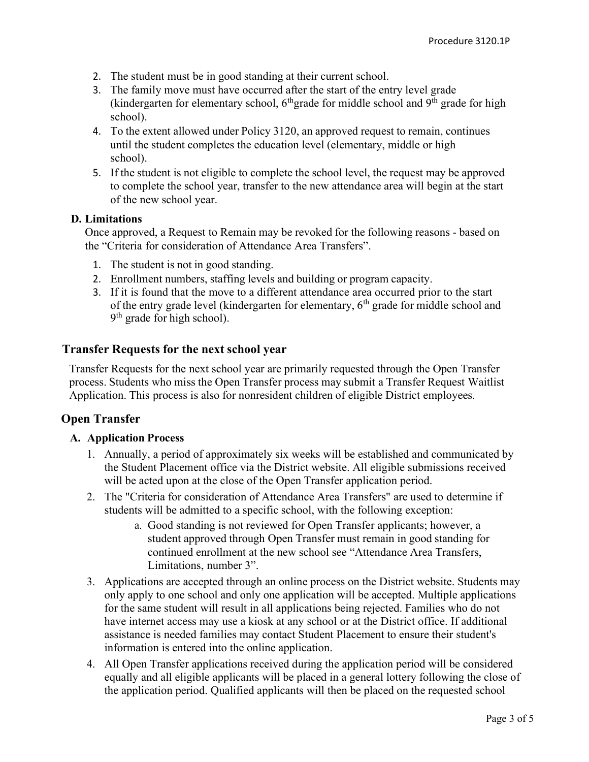- 2. The student must be in good standing at their current school.
- 3. The family move must have occurred after the start of the entry level grade (kindergarten for elementary school,  $6<sup>th</sup>$ grade for middle school and  $9<sup>th</sup>$  grade for high school).
- 4. To the extent allowed under Policy 3120, an approved request to remain, continues until the student completes the education level (elementary, middle or high school).
- 5. If the student is not eligible to complete the school level, the request may be approved to complete the school year, transfer to the new attendance area will begin at the start of the new school year.

#### D. Limitations

Once approved, a Request to Remain may be revoked for the following reasons - based on the "Criteria for consideration of Attendance Area Transfers".

- 1. The student is not in good standing.
- 2. Enrollment numbers, staffing levels and building or program capacity.
- 3. If it is found that the move to a different attendance area occurred prior to the start of the entry grade level (kindergarten for elementary,  $6<sup>th</sup>$  grade for middle school and 9<sup>th</sup> grade for high school).

## Transfer Requests for the next school year

Transfer Requests for the next school year are primarily requested through the Open Transfer process. Students who miss the Open Transfer process may submit a Transfer Request Waitlist Application. This process is also for nonresident children of eligible District employees.

## Open Transfer

## A. Application Process

- 1. Annually, a period of approximately six weeks will be established and communicated by the Student Placement office via the District website. All eligible submissions received will be acted upon at the close of the Open Transfer application period.
- 2. The "Criteria for consideration of Attendance Area Transfers" are used to determine if students will be admitted to a specific school, with the following exception:
	- a. Good standing is not reviewed for Open Transfer applicants; however, a student approved through Open Transfer must remain in good standing for continued enrollment at the new school see "Attendance Area Transfers, Limitations, number 3".
- 3. Applications are accepted through an online process on the District website. Students may only apply to one school and only one application will be accepted. Multiple applications for the same student will result in all applications being rejected. Families who do not have internet access may use a kiosk at any school or at the District office. If additional assistance is needed families may contact Student Placement to ensure their student's information is entered into the online application.
- 4. All Open Transfer applications received during the application period will be considered equally and all eligible applicants will be placed in a general lottery following the close of the application period. Qualified applicants will then be placed on the requested school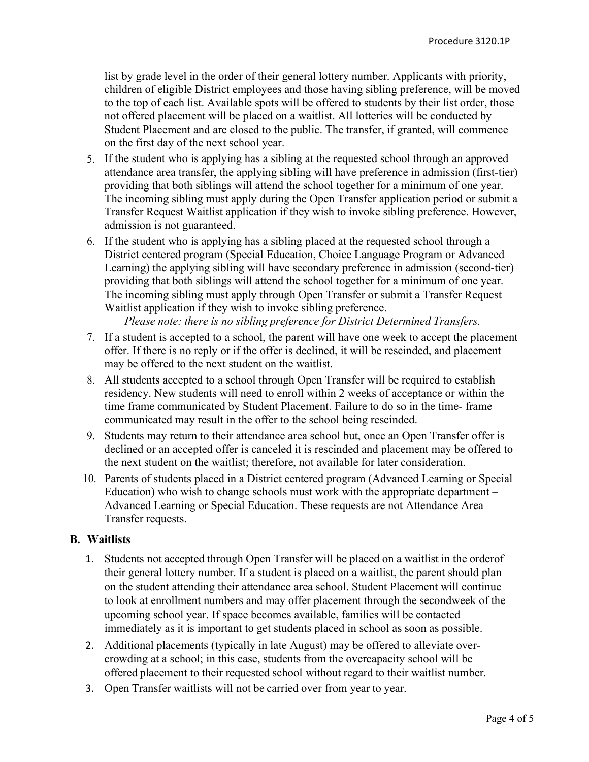list by grade level in the order of their general lottery number. Applicants with priority, children of eligible District employees and those having sibling preference, will be moved to the top of each list. Available spots will be offered to students by their list order, those not offered placement will be placed on a waitlist. All lotteries will be conducted by Student Placement and are closed to the public. The transfer, if granted, will commence on the first day of the next school year.

- 5. If the student who is applying has a sibling at the requested school through an approved attendance area transfer, the applying sibling will have preference in admission (first-tier) providing that both siblings will attend the school together for a minimum of one year. The incoming sibling must apply during the Open Transfer application period or submit a Transfer Request Waitlist application if they wish to invoke sibling preference. However, admission is not guaranteed.
- 6. If the student who is applying has a sibling placed at the requested school through a District centered program (Special Education, Choice Language Program or Advanced Learning) the applying sibling will have secondary preference in admission (second-tier) providing that both siblings will attend the school together for a minimum of one year. The incoming sibling must apply through Open Transfer or submit a Transfer Request Waitlist application if they wish to invoke sibling preference.

Please note: there is no sibling preference for District Determined Transfers.

- 7. If a student is accepted to a school, the parent will have one week to accept the placement offer. If there is no reply or if the offer is declined, it will be rescinded, and placement may be offered to the next student on the waitlist.
- 8. All students accepted to a school through Open Transfer will be required to establish residency. New students will need to enroll within 2 weeks of acceptance or within the time frame communicated by Student Placement. Failure to do so in the time- frame communicated may result in the offer to the school being rescinded.
- 9. Students may return to their attendance area school but, once an Open Transfer offer is declined or an accepted offer is canceled it is rescinded and placement may be offered to the next student on the waitlist; therefore, not available for later consideration.
- 10. Parents of students placed in a District centered program (Advanced Learning or Special Education) who wish to change schools must work with the appropriate department – Advanced Learning or Special Education. These requests are not Attendance Area Transfer requests.

### B. Waitlists

- 1. Students not accepted through Open Transfer will be placed on a waitlist in the order of their general lottery number. If a student is placed on a waitlist, the parent should plan on the student attending their attendance area school. Student Placement will continue to look at enrollment numbers and may offer placement through the secondweek of the upcoming school year. If space becomes available, families will be contacted immediately as it is important to get students placed in school as soon as possible.
- 2. Additional placements (typically in late August) may be offered to alleviate overcrowding at a school; in this case, students from the overcapacity school will be offered placement to their requested school without regard to their waitlist number.
- 3. Open Transfer waitlists will not be carried over from year to year.